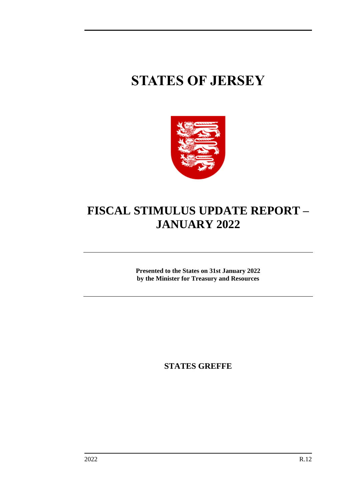# **STATES OF JERSEY**



# **FISCAL STIMULUS UPDATE REPORT – JANUARY 2022**

**Presented to the States on 31st January 2022 by the Minister for Treasury and Resources**

**STATES GREFFE**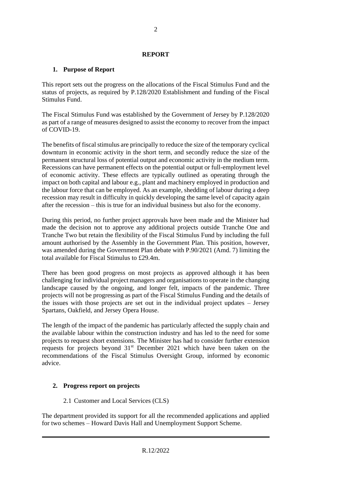## **REPORT**

# **1. Purpose of Report**

This report sets out the progress on the allocations of the Fiscal Stimulus Fund and the status of projects, as required by P.128/2020 Establishment and funding of the Fiscal Stimulus Fund.

The Fiscal Stimulus Fund was established by the Government of Jersey by P.128/2020 as part of a range of measures designed to assist the economy to recover from the impact of COVID-19.

The benefits of fiscal stimulus are principally to reduce the size of the temporary cyclical downturn in economic activity in the short term, and secondly reduce the size of the permanent structural loss of potential output and economic activity in the medium term. Recessions can have permanent effects on the potential output or full-employment level of economic activity. These effects are typically outlined as operating through the impact on both capital and labour e.g., plant and machinery employed in production and the labour force that can be employed. As an example, shedding of labour during a deep recession may result in difficulty in quickly developing the same level of capacity again after the recession – this is true for an individual business but also for the economy.

During this period, no further project approvals have been made and the Minister had made the decision not to approve any additional projects outside Tranche One and Tranche Two but retain the flexibility of the Fiscal Stimulus Fund by including the full amount authorised by the Assembly in the Government Plan. This position, however, was amended during the Government Plan debate with P.90/2021 (Amd. 7) limiting the total available for Fiscal Stimulus to £29.4m.

There has been good progress on most projects as approved although it has been challenging for individual project managers and organisations to operate in the changing landscape caused by the ongoing, and longer felt, impacts of the pandemic. Three projects will not be progressing as part of the Fiscal Stimulus Funding and the details of the issues with those projects are set out in the individual project updates  $-$  Jersey Spartans, Oakfield, and Jersey Opera House.

The length of the impact of the pandemic has particularly affected the supply chain and the available labour within the construction industry and has led to the need for some projects to request short extensions. The Minister has had to consider further extension requests for projects beyond 31st December 2021 which have been taken on the recommendations of the Fiscal Stimulus Oversight Group, informed by economic advice.

# **2. Progress report on projects**

# 2.1 Customer and Local Services (CLS)

The department provided its support for all the recommended applications and applied for two schemes – Howard Davis Hall and Unemployment Support Scheme.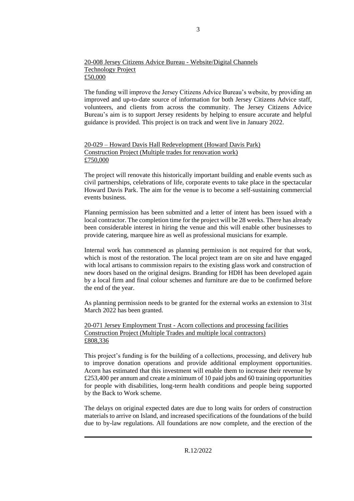# 20-008 Jersey Citizens Advice Bureau - Website/Digital Channels Technology Project £50,000

The funding will improve the Jersey Citizens Advice Bureau's website, by providing an improved and up-to-date source of information for both Jersey Citizens Advice staff, volunteers, and clients from across the community. The Jersey Citizens Advice Bureau's aim is to support Jersey residents by helping to ensure accurate and helpful guidance is provided. This project is on track and went live in January 2022.

# 20-029 – Howard Davis Hall Redevelopment (Howard Davis Park) Construction Project (Multiple trades for renovation work) £750,000

The project will renovate this historically important building and enable events such as civil partnerships, celebrations of life, corporate events to take place in the spectacular Howard Davis Park. The aim for the venue is to become a self-sustaining commercial events business.

Planning permission has been submitted and a letter of intent has been issued with a local contractor. The completion time for the project will be 28 weeks. There has already been considerable interest in hiring the venue and this will enable other businesses to provide catering, marquee hire as well as professional musicians for example.

Internal work has commenced as planning permission is not required for that work, which is most of the restoration. The local project team are on site and have engaged with local artisans to commission repairs to the existing glass work and construction of new doors based on the original designs. Branding for HDH has been developed again by a local firm and final colour schemes and furniture are due to be confirmed before the end of the year.

As planning permission needs to be granted for the external works an extension to 31st March 2022 has been granted.

#### 20-071 Jersey Employment Trust - Acorn collections and processing facilities Construction Project (Multiple Trades and multiple local contractors) £808,336

This project's funding is for the building of a collections, processing, and delivery hub to improve donation operations and provide additional employment opportunities. Acorn has estimated that this investment will enable them to increase their revenue by £253,400 per annum and create a minimum of 10 paid jobs and 60 training opportunities for people with disabilities, long-term health conditions and people being supported by the Back to Work scheme.

The delays on original expected dates are due to long waits for orders of construction materials to arrive on Island, and increased specifications of the foundations of the build due to by-law regulations. All foundations are now complete, and the erection of the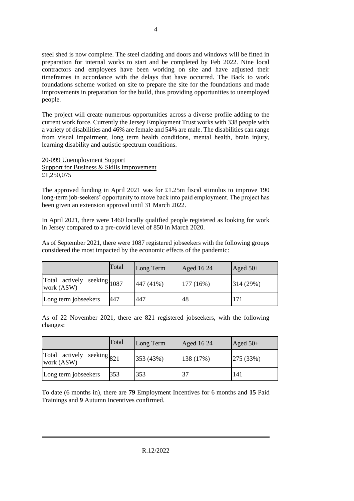steel shed is now complete. The steel cladding and doors and windows will be fitted in preparation for internal works to start and be completed by Feb 2022. Nine local contractors and employees have been working on site and have adjusted their timeframes in accordance with the delays that have occurred. The Back to work foundations scheme worked on site to prepare the site for the foundations and made improvements in preparation for the build, thus providing opportunities to unemployed people.

The project will create numerous opportunities across a diverse profile adding to the current work force. Currently the Jersey Employment Trust works with 338 people with a variety of disabilities and 46% are female and 54% are male. The disabilities can range from visual impairment, long term health conditions, mental health, brain injury, learning disability and autistic spectrum conditions.

#### 20-099 Unemployment Support Support for Business & Skills improvement £1,250,075

The approved funding in April 2021 was for £1.25m fiscal stimulus to improve 190 long-term job-seekers' opportunity to move back into paid employment. The project has been given an extension approval until 31 March 2022.

In April 2021, there were 1460 locally qualified people registered as looking for work in Jersey compared to a pre-covid level of 850 in March 2020.

As of September 2021, there were 1087 registered jobseekers with the following groups considered the most impacted by the economic effects of the pandemic:

|                                                         | Total | Long Term | Aged 16 24 | Aged $50+$ |
|---------------------------------------------------------|-------|-----------|------------|------------|
| Total actively<br>$\sim$ seeking $ 1087 $<br>work (ASW) |       | 447 (41%) | 177 (16%)  | 314 (29%)  |
| Long term jobseekers                                    | 447   | 447       | 48         | 171        |

As of 22 November 2021, there are 821 registered jobseekers, with the following changes:

|                                                  | Total | Long Term | Aged 16 24 | Aged $50+$ |
|--------------------------------------------------|-------|-----------|------------|------------|
| Total<br>actively<br>seeking $821$<br>work (ASW) |       | 353 (43%) | 138 (17%)  | 275 (33%)  |
| Long term jobseekers                             | 353   | 353       | 37         | 141        |

To date (6 months in), there are **79** Employment Incentives for 6 months and **15** Paid Trainings and **9** Autumn Incentives confirmed.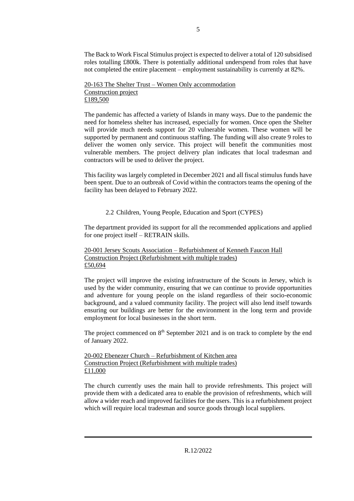The Back to Work Fiscal Stimulus project is expected to deliver a total of 120 subsidised roles totalling £800k. There is potentially additional underspend from roles that have not completed the entire placement – employment sustainability is currently at 82%.

20-163 The Shelter Trust – Women Only accommodation Construction project £189,500

The pandemic has affected a variety of Islands in many ways. Due to the pandemic the need for homeless shelter has increased, especially for women. Once open the Shelter will provide much needs support for 20 vulnerable women. These women will be supported by permanent and continuous staffing. The funding will also create 9 roles to deliver the women only service. This project will benefit the communities most vulnerable members. The project delivery plan indicates that local tradesman and contractors will be used to deliver the project.

This facility was largely completed in December 2021 and all fiscal stimulus funds have been spent. Due to an outbreak of Covid within the contractors teams the opening of the facility has been delayed to February 2022.

2.2 Children, Young People, Education and Sport (CYPES)

The department provided its support for all the recommended applications and applied for one project itself – RETRAIN skills.

20-001 Jersey Scouts Association – Refurbishment of Kenneth Faucon Hall Construction Project (Refurbishment with multiple trades) £50,694

The project will improve the existing infrastructure of the Scouts in Jersey, which is used by the wider community, ensuring that we can continue to provide opportunities and adventure for young people on the island regardless of their socio-economic background, and a valued community facility. The project will also lend itself towards ensuring our buildings are better for the environment in the long term and provide employment for local businesses in the short term.

The project commenced on  $8<sup>th</sup>$  September 2021 and is on track to complete by the end of January 2022.

20-002 Ebenezer Church – Refurbishment of Kitchen area Construction Project (Refurbishment with multiple trades) £11,000

The church currently uses the main hall to provide refreshments. This project will provide them with a dedicated area to enable the provision of refreshments, which will allow a wider reach and improved facilities for the users. This is a refurbishment project which will require local tradesman and source goods through local suppliers.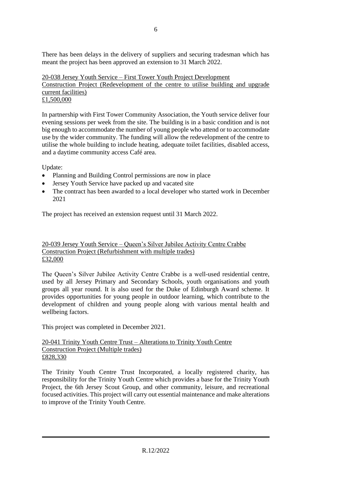There has been delays in the delivery of suppliers and securing tradesman which has meant the project has been approved an extension to 31 March 2022.

20-038 Jersey Youth Service – First Tower Youth Project Development Construction Project (Redevelopment of the centre to utilise building and upgrade current facilities) £1,500,000

In partnership with First Tower Community Association, the Youth service deliver four evening sessions per week from the site. The building is in a basic condition and is not big enough to accommodate the number of young people who attend or to accommodate use by the wider community. The funding will allow the redevelopment of the centre to utilise the whole building to include heating, adequate toilet facilities, disabled access, and a daytime community access Café area.

Update:

- Planning and Building Control permissions are now in place
- Jersey Youth Service have packed up and vacated site
- The contract has been awarded to a local developer who started work in December 2021

The project has received an extension request until 31 March 2022.

### 20-039 Jersey Youth Service – Queen's Silver Jubilee Activity Centre Crabbe Construction Project (Refurbishment with multiple trades) £32,000

The Queen's Silver Jubilee Activity Centre Crabbe is a well-used residential centre, used by all Jersey Primary and Secondary Schools, youth organisations and youth groups all year round. It is also used for the Duke of Edinburgh Award scheme. It provides opportunities for young people in outdoor learning, which contribute to the development of children and young people along with various mental health and wellbeing factors.

This project was completed in December 2021.

### 20-041 Trinity Youth Centre Trust – Alterations to Trinity Youth Centre Construction Project (Multiple trades) £828,330

The Trinity Youth Centre Trust Incorporated, a locally registered charity, has responsibility for the Trinity Youth Centre which provides a base for the Trinity Youth Project, the 6th Jersey Scout Group, and other community, leisure, and recreational focused activities. This project will carry out essential maintenance and make alterations to improve of the Trinity Youth Centre.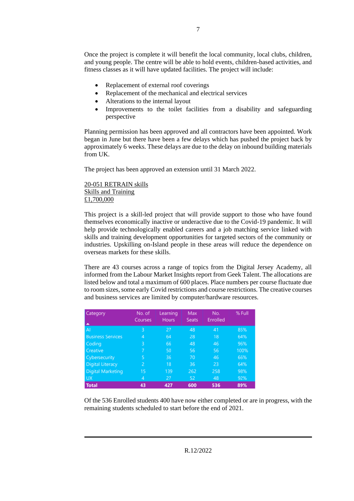Once the project is complete it will benefit the local community, local clubs, children, and young people. The centre will be able to hold events, children-based activities, and fitness classes as it will have updated facilities. The project will include:

- Replacement of external roof coverings
- Replacement of the mechanical and electrical services
- Alterations to the internal layout
- Improvements to the toilet facilities from a disability and safeguarding perspective

Planning permission has been approved and all contractors have been appointed. Work began in June but there have been a few delays which has pushed the project back by approximately 6 weeks. These delays are due to the delay on inbound building materials from UK.

The project has been approved an extension until 31 March 2022.

20-051 RETRAIN skills Skills and Training £1,700,000

This project is a skill-led project that will provide support to those who have found themselves economically inactive or underactive due to the Covid-19 pandemic. It will help provide technologically enabled careers and a job matching service linked with skills and training development opportunities for targeted sectors of the community or industries. Upskilling on-Island people in these areas will reduce the dependence on overseas markets for these skills.

There are 43 courses across a range of topics from the Digital Jersey Academy, all informed from the Labour Market Insights report from Geek Talent. The allocations are listed below and total a maximum of 600 places. Place numbers per course fluctuate due to room sizes, some early Covid restrictions and course restrictions. The creative courses and business services are limited by computer/hardware resources.

| Category                 | No. of<br>Courses | Learning<br><b>Hours</b> | Max<br><b>Seats</b> | No.<br>Enrolled | % Full |
|--------------------------|-------------------|--------------------------|---------------------|-----------------|--------|
| $\overline{A}$           | 3                 | 27                       | 48                  | 41              | 85%    |
| <b>Business Services</b> | 4                 | 64                       | 28                  | 18              | 64%    |
| Coding                   | 3                 | 66                       | 48                  | 46              | 96%    |
| <b>Creative</b>          | 7                 | 50                       | 56                  | 56              | 100%   |
| <b>Cybersecurity</b>     | 5                 | 36                       | 70                  | 46              | 66%    |
| <b>Digital Literacy</b>  | 2                 | 18                       | 36                  | 23              | 64%    |
| <b>Digital Marketing</b> | 15                | 139                      | 262                 | 258             | 98%    |
| <b>UX</b>                | 4                 | 27                       | 52                  | 48              | 92%    |
| <b>Total</b>             | 43                | 427                      | 600                 | 536             | 89%    |

Of the 536 Enrolled students 400 have now either completed or are in progress, with the remaining students scheduled to start before the end of 2021.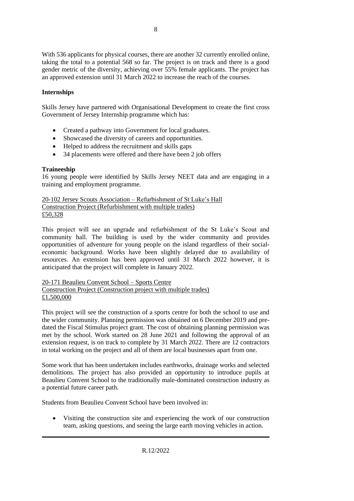With 536 applicants for physical courses, there are another 32 currently enrolled online, taking the total to a potential 568 so far. The project is on track and there is a good gender metric of the diversity, achieving over 55% female applicants. The project has an approved extension until 31 March 2022 to increase the reach of the courses.

# **Internships**

Skills Jersey have partnered with Organisational Development to create the first cross Government of Jersey Internship programme which has:

- Created a pathway into Government for local graduates.
- Showcased the diversity of careers and opportunities.
- Helped to address the recruitment and skills gaps
- 34 placements were offered and there have been 2 job offers

# **Traineeship**

16 young people were identified by Skills Jersey NEET data and are engaging in a training and employment programme.

20-102 Jersey Scouts Association – Refurbishment of St Luke's Hall Construction Project (Refurbishment with multiple trades) £50,328

This project will see an upgrade and refurbishment of the St Luke's Scout and community hall. The building is used by the wider community and provides opportunities of adventure for young people on the island regardless of their socialeconomic background. Works have been slightly delayed due to availability of resources. An extension has been approved until 31 March 2022 however, it is anticipated that the project will complete in January 2022.

# 20-171 Beaulieu Convent School – Sports Centre

Construction Project (Construction project with multiple trades) £1,500,000

This project will see the construction of a sports centre for both the school to use and the wider community. Planning permission was obtained on 6 December 2019 and predated the Fiscal Stimulus project grant. The cost of obtaining planning permission was met by the school. Work started on 28 June 2021 and following the approval of an extension request, is on track to complete by 31 March 2022. There are 12 contractors in total working on the project and all of them are local businesses apart from one.

Some work that has been undertaken includes earthworks, drainage works and selected demolitions. The project has also provided an opportunity to introduce pupils at Beaulieu Convent School to the traditionally male-dominated construction industry as a potential future career path.

Students from Beaulieu Convent School have been involved in:

• Visiting the construction site and experiencing the work of our construction team, asking questions, and seeing the large earth moving vehicles in action.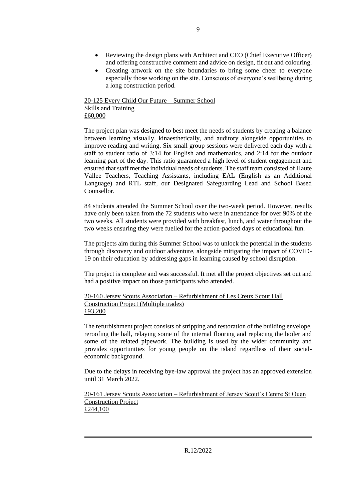- Reviewing the design plans with Architect and CEO (Chief Executive Officer) and offering constructive comment and advice on design, fit out and colouring.
- Creating artwork on the site boundaries to bring some cheer to everyone especially those working on the site. Conscious of everyone's wellbeing during a long construction period.

20-125 Every Child Our Future – Summer School Skills and Training £60,000

The project plan was designed to best meet the needs of students by creating a balance between learning visually, kinaesthetically, and auditory alongside opportunities to improve reading and writing. Six small group sessions were delivered each day with a staff to student ratio of 3:14 for English and mathematics, and 2:14 for the outdoor learning part of the day. This ratio guaranteed a high level of student engagement and ensured that staff met the individual needs of students. The staff team consisted of Haute Vallee Teachers, Teaching Assistants, including EAL (English as an Additional Language) and RTL staff, our Designated Safeguarding Lead and School Based Counsellor.

84 students attended the Summer School over the two-week period. However, results have only been taken from the 72 students who were in attendance for over 90% of the two weeks. All students were provided with breakfast, lunch, and water throughout the two weeks ensuring they were fuelled for the action-packed days of educational fun.

The projects aim during this Summer School was to unlock the potential in the students through discovery and outdoor adventure, alongside mitigating the impact of COVID-19 on their education by addressing gaps in learning caused by school disruption.

The project is complete and was successful. It met all the project objectives set out and had a positive impact on those participants who attended.

20-160 Jersey Scouts Association – Refurbishment of Les Creux Scout Hall Construction Project (Multiple trades) £93,200

The refurbishment project consists of stripping and restoration of the building envelope, reroofing the hall, relaying some of the internal flooring and replacing the boiler and some of the related pipework. The building is used by the wider community and provides opportunities for young people on the island regardless of their socialeconomic background.

Due to the delays in receiving bye-law approval the project has an approved extension until 31 March 2022.

20-161 Jersey Scouts Association – Refurbishment of Jersey Scout's Centre St Ouen Construction Project £244,100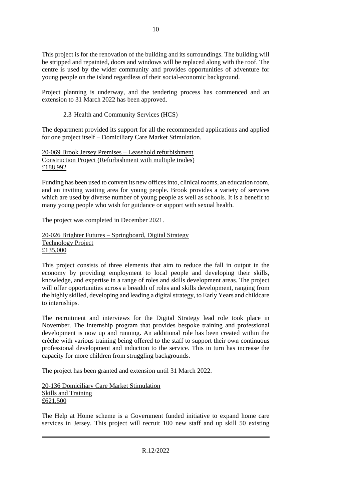This project is for the renovation of the building and its surroundings. The building will be stripped and repainted, doors and windows will be replaced along with the roof. The centre is used by the wider community and provides opportunities of adventure for young people on the island regardless of their social-economic background.

Project planning is underway, and the tendering process has commenced and an extension to 31 March 2022 has been approved.

2.3 Health and Community Services (HCS)

The department provided its support for all the recommended applications and applied for one project itself – Domiciliary Care Market Stimulation.

20-069 Brook Jersey Premises – Leasehold refurbishment Construction Project (Refurbishment with multiple trades) £188,992

Funding has been used to convert its new offices into, clinical rooms, an education room, and an inviting waiting area for young people. Brook provides a variety of services which are used by diverse number of young people as well as schools. It is a benefit to many young people who wish for guidance or support with sexual health.

The project was completed in December 2021.

20-026 Brighter Futures – Springboard, Digital Strategy Technology Project £135,000

This project consists of three elements that aim to reduce the fall in output in the economy by providing employment to local people and developing their skills, knowledge, and expertise in a range of roles and skills development areas. The project will offer opportunities across a breadth of roles and skills development, ranging from the highly skilled, developing and leading a digital strategy, to Early Years and childcare to internships.

The recruitment and interviews for the Digital Strategy lead role took place in November. The internship program that provides bespoke training and professional development is now up and running. An additional role has been created within the crèche with various training being offered to the staff to support their own continuous professional development and induction to the service. This in turn has increase the capacity for more children from struggling backgrounds.

The project has been granted and extension until 31 March 2022.

20-136 Domiciliary Care Market Stimulation Skills and Training £621,500

The Help at Home scheme is a Government funded initiative to expand home care services in Jersey. This project will recruit 100 new staff and up skill 50 existing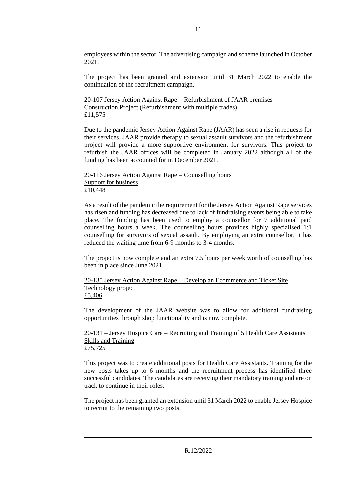employees within the sector. The advertising campaign and scheme launched in October 2021.

The project has been granted and extension until 31 March 2022 to enable the continuation of the recruitment campaign.

```
20-107 Jersey Action Against Rape – Refurbishment of JAAR premises 
Construction Project (Refurbishment with multiple trades)
£11,575
```
Due to the pandemic Jersey Action Against Rape (JAAR) has seen a rise in requests for their services. JAAR provide therapy to sexual assault survivors and the refurbishment project will provide a more supportive environment for survivors. This project to refurbish the JAAR offices will be completed in January 2022 although all of the funding has been accounted for in December 2021.

# 20-116 Jersey Action Against Rape – Counselling hours Support for business £10,448

As a result of the pandemic the requirement for the Jersey Action Against Rape services has risen and funding has decreased due to lack of fundraising events being able to take place. The funding has been used to employ a counsellor for 7 additional paid counselling hours a week. The counselling hours provides highly specialised 1:1 counselling for survivors of sexual assault. By employing an extra counsellor, it has reduced the waiting time from 6-9 months to 3-4 months.

The project is now complete and an extra 7.5 hours per week worth of counselling has been in place since June 2021.

#### 20-135 Jersey Action Against Rape – Develop an Ecommerce and Ticket Site Technology project £5,406

The development of the JAAR website was to allow for additional fundraising opportunities through shop functionality and is now complete.

### 20-131 – Jersey Hospice Care – Recruiting and Training of 5 Health Care Assistants Skills and Training £75,725

This project was to create additional posts for Health Care Assistants. Training for the new posts takes up to 6 months and the recruitment process has identified three successful candidates. The candidates are receiving their mandatory training and are on track to continue in their roles.

The project has been granted an extension until 31 March 2022 to enable Jersey Hospice to recruit to the remaining two posts.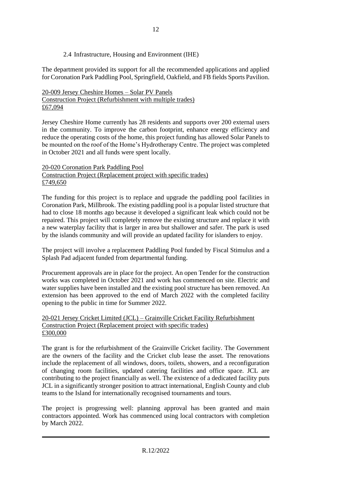### 2.4 Infrastructure, Housing and Environment (IHE)

The department provided its support for all the recommended applications and applied for Coronation Park Paddling Pool, Springfield, Oakfield, and FB fields Sports Pavilion.

#### 20-009 Jersey Cheshire Homes – Solar PV Panels Construction Project (Refurbishment with multiple trades) £67,094

Jersey Cheshire Home currently has 28 residents and supports over 200 external users in the community. To improve the carbon footprint, enhance energy efficiency and reduce the operating costs of the home, this project funding has allowed Solar Panels to be mounted on the roof of the Home's Hydrotherapy Centre. The project was completed in October 2021 and all funds were spent locally.

#### 20-020 Coronation Park Paddling Pool Construction Project (Replacement project with specific trades) £749,650

The funding for this project is to replace and upgrade the paddling pool facilities in Coronation Park, Millbrook. The existing paddling pool is a popular listed structure that had to close 18 months ago because it developed a significant leak which could not be repaired. This project will completely remove the existing structure and replace it with a new waterplay facility that is larger in area but shallower and safer. The park is used by the islands community and will provide an updated facility for islanders to enjoy.

The project will involve a replacement Paddling Pool funded by Fiscal Stimulus and a Splash Pad adjacent funded from departmental funding.

Procurement approvals are in place for the project. An open Tender for the construction works was completed in October 2021 and work has commenced on site. Electric and water supplies have been installed and the existing pool structure has been removed. An extension has been approved to the end of March 2022 with the completed facility opening to the public in time for Summer 2022.

#### 20-021 Jersey Cricket Limited (JCL) – Grainville Cricket Facility Refurbishment Construction Project (Replacement project with specific trades) £300,000

The grant is for the refurbishment of the Grainville Cricket facility. The Government are the owners of the facility and the Cricket club lease the asset. The renovations include the replacement of all windows, doors, toilets, showers, and a reconfiguration of changing room facilities, updated catering facilities and office space. JCL are contributing to the project financially as well. The existence of a dedicated facility puts JCL in a significantly stronger position to attract international, English County and club teams to the Island for internationally recognised tournaments and tours.

The project is progressing well: planning approval has been granted and main contractors appointed. Work has commenced using local contractors with completion by March 2022.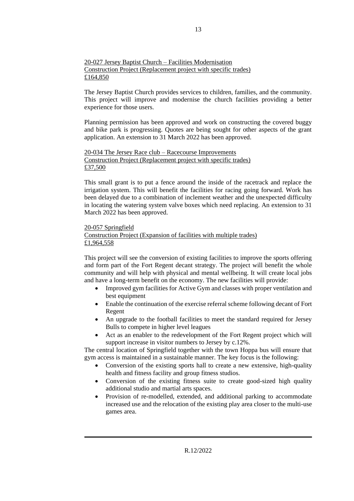### 20-027 Jersey Baptist Church – Facilities Modernisation Construction Project (Replacement project with specific trades) £164,850

The Jersey Baptist Church provides services to children, families, and the community. This project will improve and modernise the church facilities providing a better experience for those users.

Planning permission has been approved and work on constructing the covered buggy and bike park is progressing. Quotes are being sought for other aspects of the grant application. An extension to 31 March 2022 has been approved.

20-034 The Jersey Race club – Racecourse Improvements Construction Project (Replacement project with specific trades) £37,500

This small grant is to put a fence around the inside of the racetrack and replace the irrigation system. This will benefit the facilities for racing going forward. Work has been delayed due to a combination of inclement weather and the unexpected difficulty in locating the watering system valve boxes which need replacing. An extension to 31 March 2022 has been approved.

#### 20-057 Springfield Construction Project (Expansion of facilities with multiple trades) £1,964,558

This project will see the conversion of existing facilities to improve the sports offering and form part of the Fort Regent decant strategy. The project will benefit the whole community and will help with physical and mental wellbeing. It will create local jobs and have a long-term benefit on the economy. The new facilities will provide:

- Improved gym facilities for Active Gym and classes with proper ventilation and best equipment
- Enable the continuation of the exercise referral scheme following decant of Fort Regent
- An upgrade to the football facilities to meet the standard required for Jersey Bulls to compete in higher level leagues
- Act as an enabler to the redevelopment of the Fort Regent project which will support increase in visitor numbers to Jersey by c.12%.

The central location of Springfield together with the town Hoppa bus will ensure that gym access is maintained in a sustainable manner. The key focus is the following:

- Conversion of the existing sports hall to create a new extensive, high-quality health and fitness facility and group fitness studios.
- Conversion of the existing fitness suite to create good-sized high quality additional studio and martial arts spaces.
- Provision of re-modelled, extended, and additional parking to accommodate increased use and the relocation of the existing play area closer to the multi-use games area.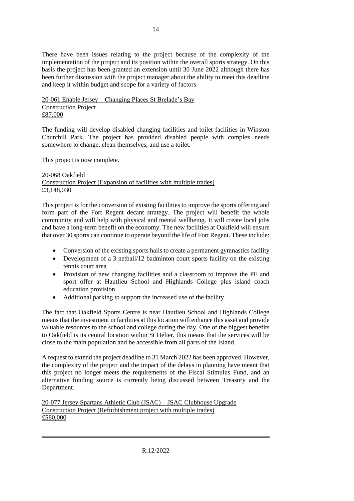There have been issues relating to the project because of the complexity of the implementation of the project and its position within the overall sports strategy. On this basis the project has been granted an extension until 30 June 2022 although there has been further discussion with the project manager about the ability to meet this deadline and keep it within budget and scope for a variety of factors

#### 20-061 Enable Jersey – Changing Places St Brelade's Bay Construction Project £87,000

The funding will develop disabled changing facilities and toilet facilities in Winston Churchill Park. The project has provided disabled people with complex needs somewhere to change, clean themselves, and use a toilet.

This project is now complete.

#### 20-068 Oakfield Construction Project (Expansion of facilities with multiple trades) £3,148,030

This project is for the conversion of existing facilities to improve the sports offering and form part of the Fort Regent decant strategy. The project will benefit the whole community and will help with physical and mental wellbeing. It will create local jobs and have a long-term benefit on the economy. The new facilities at Oakfield will ensure that over 30 sports can continue to operate beyond the life of Fort Regent. These include:

- Conversion of the existing sports halls to create a permanent gymnastics facility
- Development of a 3 netball/12 badminton court sports facility on the existing tennis court area
- Provision of new changing facilities and a classroom to improve the PE and sport offer at Hautlieu School and Highlands College plus island coach education provision
- Additional parking to support the increased use of the facility

The fact that Oakfield Sports Centre is near Hautlieu School and Highlands College means that the investment in facilities at this location will enhance this asset and provide valuable resources to the school and college during the day. One of the biggest benefits to Oakfield is its central location within St Helier, this means that the services will be close to the main population and be accessible from all parts of the Island.

A request to extend the project deadline to 31 March 2022 has been approved. However, the complexity of the project and the impact of the delays in planning have meant that this project no longer meets the requirements of the Fiscal Stimulus Fund, and an alternative funding source is currently being discussed between Treasury and the Department.

20-077 Jersey Spartans Athletic Club (JSAC) – JSAC Clubhouse Upgrade Construction Project (Refurbishment project with multiple trades) £580,000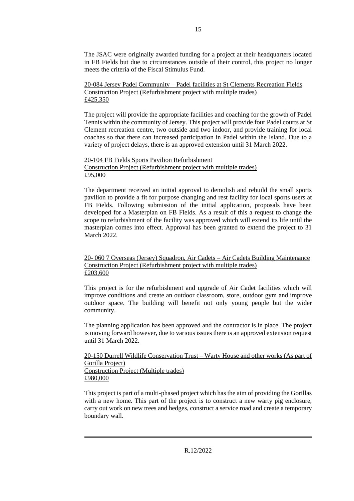The JSAC were originally awarded funding for a project at their headquarters located in FB Fields but due to circumstances outside of their control, this project no longer meets the criteria of the Fiscal Stimulus Fund.

20-084 Jersey Padel Community – Padel facilities at St Clements Recreation Fields Construction Project (Refurbishment project with multiple trades) £425,350

The project will provide the appropriate facilities and coaching for the growth of Padel Tennis within the community of Jersey. This project will provide four Padel courts at St Clement recreation centre, two outside and two indoor, and provide training for local coaches so that there can increased participation in Padel within the Island. Due to a variety of project delays, there is an approved extension until 31 March 2022.

20-104 FB Fields Sports Pavilion Refurbishment Construction Project (Refurbishment project with multiple trades) £95,000

The department received an initial approval to demolish and rebuild the small sports pavilion to provide a fit for purpose changing and rest facility for local sports users at FB Fields. Following submission of the initial application, proposals have been developed for a Masterplan on FB Fields. As a result of this a request to change the scope to refurbishment of the facility was approved which will extend its life until the masterplan comes into effect. Approval has been granted to extend the project to 31 March 2022.

20- 060 7 Overseas (Jersey) Squadron, Air Cadets – Air Cadets Building Maintenance Construction Project (Refurbishment project with multiple trades) £203,600

This project is for the refurbishment and upgrade of Air Cadet facilities which will improve conditions and create an outdoor classroom, store, outdoor gym and improve outdoor space. The building will benefit not only young people but the wider community.

The planning application has been approved and the contractor is in place. The project is moving forward however, due to various issues there is an approved extension request until 31 March 2022.

20-150 Durrell Wildlife Conservation Trust – Warty House and other works (As part of Gorilla Project) Construction Project (Multiple trades) £980,000

This project is part of a multi-phased project which has the aim of providing the Gorillas with a new home. This part of the project is to construct a new warty pig enclosure, carry out work on new trees and hedges, construct a service road and create a temporary boundary wall.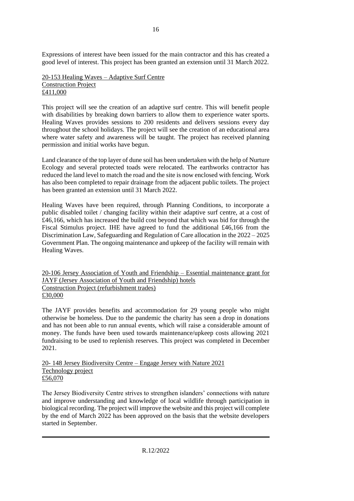Expressions of interest have been issued for the main contractor and this has created a good level of interest. This project has been granted an extension until 31 March 2022.

20-153 Healing Waves – Adaptive Surf Centre Construction Project £411,000

This project will see the creation of an adaptive surf centre. This will benefit people with disabilities by breaking down barriers to allow them to experience water sports. Healing Waves provides sessions to 200 residents and delivers sessions every day throughout the school holidays. The project will see the creation of an educational area where water safety and awareness will be taught. The project has received planning permission and initial works have begun.

Land clearance of the top layer of dune soil has been undertaken with the help of Nurture Ecology and several protected toads were relocated. The earthworks contractor has reduced the land level to match the road and the site is now enclosed with fencing. Work has also been completed to repair drainage from the adjacent public toilets. The project has been granted an extension until 31 March 2022.

Healing Waves have been required, through Planning Conditions, to incorporate a public disabled toilet / changing facility within their adaptive surf centre, at a cost of £46,166, which has increased the build cost beyond that which was bid for through the Fiscal Stimulus project. IHE have agreed to fund the additional £46,166 from the Discrimination Law, Safeguarding and Regulation of Care allocation in the 2022 – 2025 Government Plan. The ongoing maintenance and upkeep of the facility will remain with Healing Waves.

20-106 Jersey Association of Youth and Friendship – Essential maintenance grant for JAYF (Jersey Association of Youth and Friendship) hotels Construction Project (refurbishment trades) £30,000

The JAYF provides benefits and accommodation for 29 young people who might otherwise be homeless. Due to the pandemic the charity has seen a drop in donations and has not been able to run annual events, which will raise a considerable amount of money. The funds have been used towards maintenance/upkeep costs allowing 2021 fundraising to be used to replenish reserves. This project was completed in December 2021.

20- 148 Jersey Biodiversity Centre – Engage Jersey with Nature 2021 Technology project £56,070

The Jersey Biodiversity Centre strives to strengthen islanders' connections with nature and improve understanding and knowledge of local wildlife through participation in biological recording. The project will improve the website and this project will complete by the end of March 2022 has been approved on the basis that the website developers started in September.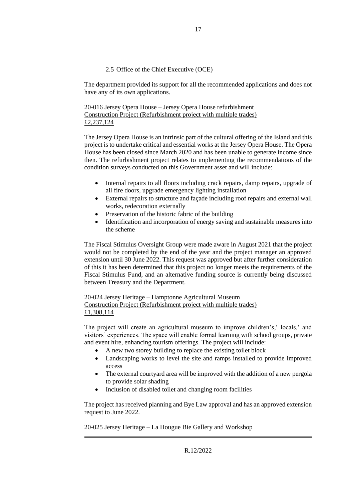#### 2.5 Office of the Chief Executive (OCE)

The department provided its support for all the recommended applications and does not have any of its own applications.

#### 20-016 Jersey Opera House – Jersey Opera House refurbishment Construction Project (Refurbishment project with multiple trades) £2,237,124

The Jersey Opera House is an intrinsic part of the cultural offering of the Island and this project is to undertake critical and essential works at the Jersey Opera House. The Opera House has been closed since March 2020 and has been unable to generate income since then. The refurbishment project relates to implementing the recommendations of the condition surveys conducted on this Government asset and will include:

- Internal repairs to all floors including crack repairs, damp repairs, upgrade of all fire doors, upgrade emergency lighting installation
- External repairs to structure and façade including roof repairs and external wall works, redecoration externally
- Preservation of the historic fabric of the building
- Identification and incorporation of energy saving and sustainable measures into the scheme

The Fiscal Stimulus Oversight Group were made aware in August 2021 that the project would not be completed by the end of the year and the project manager an approved extension until 30 June 2022. This request was approved but after further consideration of this it has been determined that this project no longer meets the requirements of the Fiscal Stimulus Fund, and an alternative funding source is currently being discussed between Treasury and the Department.

# 20-024 Jersey Heritage – Hamptonne Agricultural Museum Construction Project (Refurbishment project with multiple trades) £1,308,114

The project will create an agricultural museum to improve children's,' locals,' and visitors' experiences. The space will enable formal learning with school groups, private and event hire, enhancing tourism offerings. The project will include:

- A new two storey building to replace the existing toilet block
- Landscaping works to level the site and ramps installed to provide improved access
- The external courtyard area will be improved with the addition of a new pergola to provide solar shading
- Inclusion of disabled toilet and changing room facilities

The project has received planning and Bye Law approval and has an approved extension request to June 2022.

20-025 Jersey Heritage – La Hougue Bie Gallery and Workshop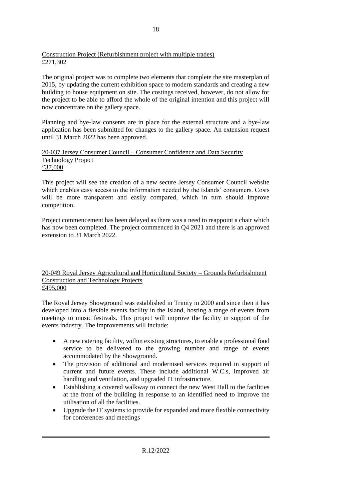#### Construction Project (Refurbishment project with multiple trades) £271,302

The original project was to complete two elements that complete the site masterplan of 2015, by updating the current exhibition space to modern standards and creating a new building to house equipment on site. The costings received, however, do not allow for the project to be able to afford the whole of the original intention and this project will now concentrate on the gallery space.

Planning and bye-law consents are in place for the external structure and a bye-law application has been submitted for changes to the gallery space. An extension request until 31 March 2022 has been approved.

#### 20-037 Jersey Consumer Council – Consumer Confidence and Data Security Technology Project £37,000

This project will see the creation of a new secure Jersey Consumer Council website which enables easy access to the information needed by the Islands' consumers. Costs will be more transparent and easily compared, which in turn should improve competition.

Project commencement has been delayed as there was a need to reappoint a chair which has now been completed. The project commenced in Q4 2021 and there is an approved extension to 31 March 2022.

#### 20-049 Royal Jersey Agricultural and Horticultural Society – Grounds Refurbishment Construction and Technology Projects £495,000

The Royal Jersey Showground was established in Trinity in 2000 and since then it has developed into a flexible events facility in the Island, hosting a range of events from meetings to music festivals. This project will improve the facility in support of the events industry. The improvements will include:

- A new catering facility, within existing structures, to enable a professional food service to be delivered to the growing number and range of events accommodated by the Showground.
- The provision of additional and modernised services required in support of current and future events. These include additional W.C.s, improved air handling and ventilation, and upgraded IT infrastructure.
- Establishing a covered walkway to connect the new West Hall to the facilities at the front of the building in response to an identified need to improve the utilisation of all the facilities.
- Upgrade the IT systems to provide for expanded and more flexible connectivity for conferences and meetings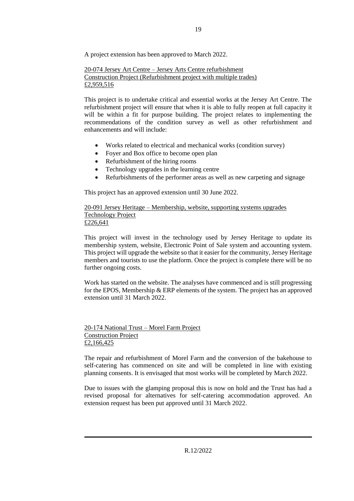A project extension has been approved to March 2022.

20-074 Jersey Art Centre – Jersey Arts Centre refurbishment Construction Project (Refurbishment project with multiple trades) £2,959,516

This project is to undertake critical and essential works at the Jersey Art Centre. The refurbishment project will ensure that when it is able to fully reopen at full capacity it will be within a fit for purpose building. The project relates to implementing the recommendations of the condition survey as well as other refurbishment and enhancements and will include:

- Works related to electrical and mechanical works (condition survey)
- Foyer and Box office to become open plan
- Refurbishment of the hiring rooms
- Technology upgrades in the learning centre
- Refurbishments of the performer areas as well as new carpeting and signage

This project has an approved extension until 30 June 2022.

20-091 Jersey Heritage – Membership, website, supporting systems upgrades Technology Project £226,641

This project will invest in the technology used by Jersey Heritage to update its membership system, website, Electronic Point of Sale system and accounting system. This project will upgrade the website so that it easier for the community, Jersey Heritage members and tourists to use the platform. Once the project is complete there will be no further ongoing costs.

Work has started on the website. The analyses have commenced and is still progressing for the EPOS, Membership & ERP elements of the system. The project has an approved extension until 31 March 2022.

20-174 National Trust – Morel Farm Project Construction Project £2,166,425

The repair and refurbishment of Morel Farm and the conversion of the bakehouse to self-catering has commenced on site and will be completed in line with existing planning consents. It is envisaged that most works will be completed by March 2022.

Due to issues with the glamping proposal this is now on hold and the Trust has had a revised proposal for alternatives for self-catering accommodation approved. An extension request has been put approved until 31 March 2022.